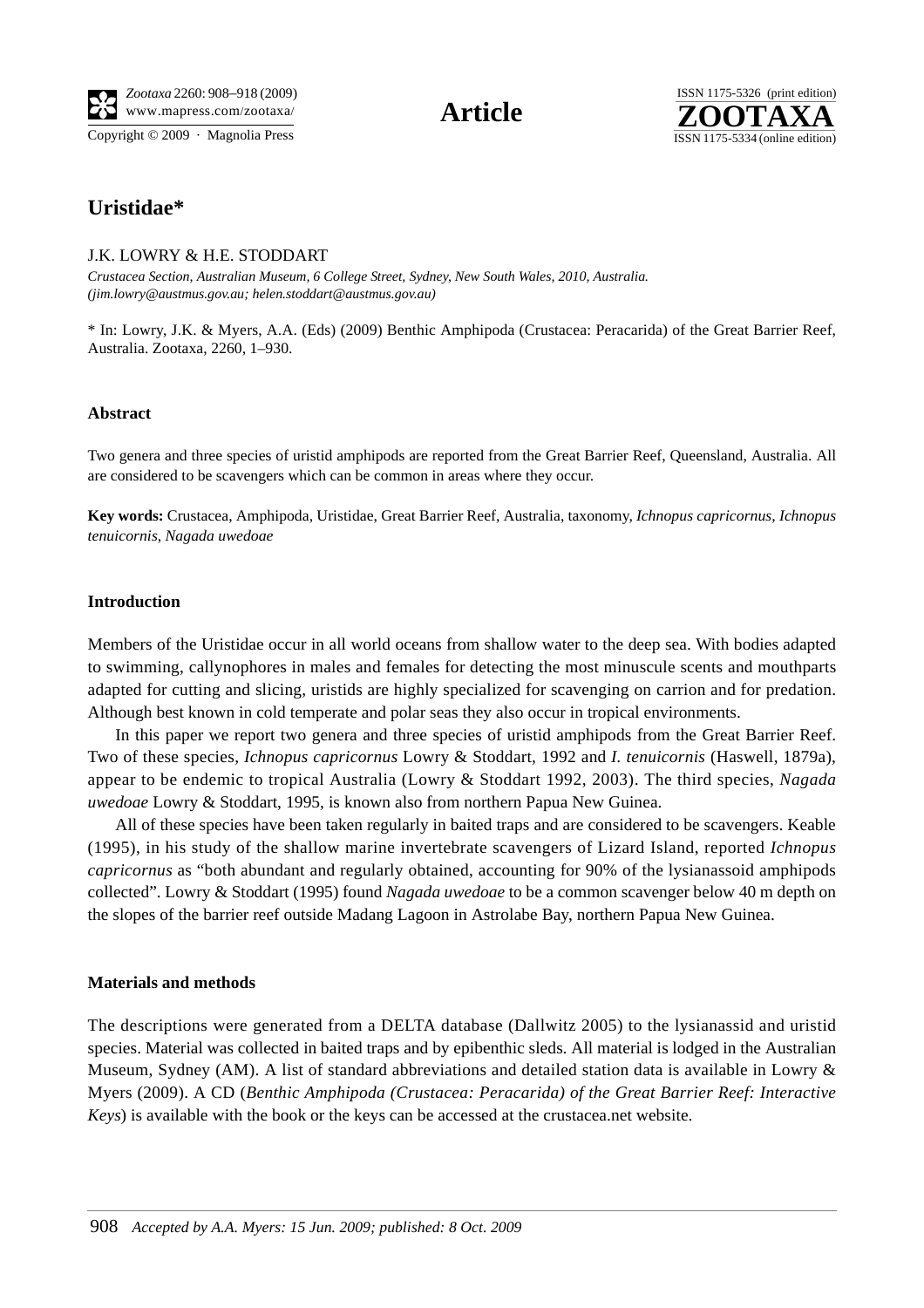Copyright © 2009 · Magnolia Press ISSN 1175-5334 (online edition)



# **Uristidae\***

# J.K. LOWRY & H.E. STODDART

*Crustacea Section, Australian Museum, 6 College Street, Sydney, New South Wales, 2010, Australia. (jim.lowry@austmus.gov.au; helen.stoddart@austmus.gov.au)*

\* In: Lowry, J.K. & Myers, A.A. (Eds) (2009) Benthic Amphipoda (Crustacea: Peracarida) of the Great Barrier Reef, Australia. Zootaxa, 2260, 1–930.

#### **Abstract**

Two genera and three species of uristid amphipods are reported from the Great Barrier Reef, Queensland, Australia. All are considered to be scavengers which can be common in areas where they occur.

**Key words:** Crustacea, Amphipoda, Uristidae, Great Barrier Reef, Australia, taxonomy, *Ichnopus capricornus*, *Ichnopus tenuicornis*, *Nagada uwedoae*

#### **Introduction**

Members of the Uristidae occur in all world oceans from shallow water to the deep sea. With bodies adapted to swimming, callynophores in males and females for detecting the most minuscule scents and mouthparts adapted for cutting and slicing, uristids are highly specialized for scavenging on carrion and for predation. Although best known in cold temperate and polar seas they also occur in tropical environments.

In this paper we report two genera and three species of uristid amphipods from the Great Barrier Reef. Two of these species, *Ichnopus capricornus* Lowry & Stoddart, 1992 and *I. tenuicornis* (Haswell, 1879a), appear to be endemic to tropical Australia (Lowry & Stoddart 1992, 2003). The third species, *Nagada uwedoae* Lowry & Stoddart, 1995, is known also from northern Papua New Guinea.

All of these species have been taken regularly in baited traps and are considered to be scavengers. Keable (1995), in his study of the shallow marine invertebrate scavengers of Lizard Island, reported *Ichnopus capricornus* as "both abundant and regularly obtained, accounting for 90% of the lysianassoid amphipods collected". Lowry & Stoddart (1995) found *Nagada uwedoae* to be a common scavenger below 40 m depth on the slopes of the barrier reef outside Madang Lagoon in Astrolabe Bay, northern Papua New Guinea.

# **Materials and methods**

The descriptions were generated from a DELTA database (Dallwitz 2005) to the lysianassid and uristid species. Material was collected in baited traps and by epibenthic sleds. All material is lodged in the Australian Museum, Sydney (AM). A list of standard abbreviations and detailed station data is available in Lowry & Myers (2009). A CD (*Benthic Amphipoda (Crustacea: Peracarida) of the Great Barrier Reef: Interactive Keys*) is available with the book or the keys can be accessed at the crustacea.net website.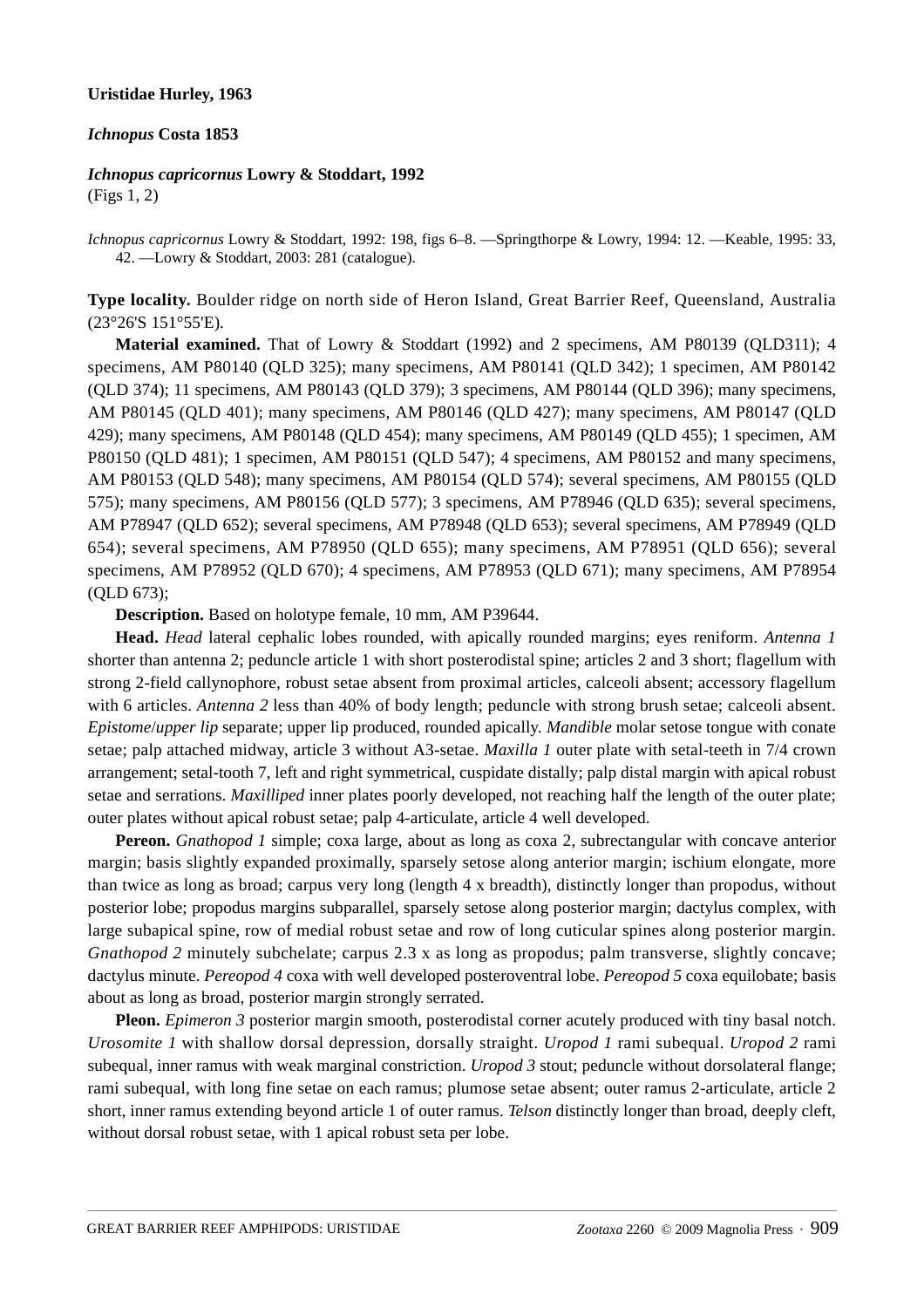#### **Uristidae Hurley, 1963**

#### *Ichnopus* **Costa 1853**

# *Ichnopus capricornus* **Lowry & Stoddart, 1992**

(Figs 1, 2)

*Ichnopus capricornus* Lowry & Stoddart, 1992: 198, figs 6–8. ––Springthorpe & Lowry, 1994: 12. ––Keable, 1995: 33, 42. ––Lowry & Stoddart, 2003: 281 (catalogue).

**Type locality.** Boulder ridge on north side of Heron Island, Great Barrier Reef, Queensland, Australia (23°26'S 151°55'E).

**Material examined.** That of Lowry & Stoddart (1992) and 2 specimens, AM P80139 (QLD311); 4 specimens, AM P80140 (QLD 325); many specimens, AM P80141 (QLD 342); 1 specimen, AM P80142 (QLD 374); 11 specimens, AM P80143 (QLD 379); 3 specimens, AM P80144 (QLD 396); many specimens, AM P80145 (QLD 401); many specimens, AM P80146 (QLD 427); many specimens, AM P80147 (QLD 429); many specimens, AM P80148 (QLD 454); many specimens, AM P80149 (QLD 455); 1 specimen, AM P80150 (QLD 481); 1 specimen, AM P80151 (QLD 547); 4 specimens, AM P80152 and many specimens, AM P80153 (QLD 548); many specimens, AM P80154 (QLD 574); several specimens, AM P80155 (QLD 575); many specimens, AM P80156 (QLD 577); 3 specimens, AM P78946 (QLD 635); several specimens, AM P78947 (QLD 652); several specimens, AM P78948 (QLD 653); several specimens, AM P78949 (QLD 654); several specimens, AM P78950 (QLD 655); many specimens, AM P78951 (QLD 656); several specimens, AM P78952 (QLD 670); 4 specimens, AM P78953 (QLD 671); many specimens, AM P78954 (QLD 673);

**Description.** Based on holotype female, 10 mm, AM P39644.

**Head.** *Head* lateral cephalic lobes rounded, with apically rounded margins; eyes reniform. *Antenna 1* shorter than antenna 2; peduncle article 1 with short posterodistal spine; articles 2 and 3 short; flagellum with strong 2-field callynophore, robust setae absent from proximal articles, calceoli absent; accessory flagellum with 6 articles. *Antenna* 2 less than 40% of body length; peduncle with strong brush setae; calceoli absent. *Epistome*/*upper lip* separate; upper lip produced, rounded apically. *Mandible* molar setose tongue with conate setae; palp attached midway, article 3 without A3-setae. *Maxilla 1* outer plate with setal-teeth in 7/4 crown arrangement; setal-tooth 7, left and right symmetrical, cuspidate distally; palp distal margin with apical robust setae and serrations. *Maxilliped* inner plates poorly developed, not reaching half the length of the outer plate; outer plates without apical robust setae; palp 4-articulate, article 4 well developed.

**Pereon.** *Gnathopod 1* simple; coxa large, about as long as coxa 2, subrectangular with concave anterior margin; basis slightly expanded proximally, sparsely setose along anterior margin; ischium elongate, more than twice as long as broad; carpus very long (length 4 x breadth), distinctly longer than propodus, without posterior lobe; propodus margins subparallel, sparsely setose along posterior margin; dactylus complex, with large subapical spine, row of medial robust setae and row of long cuticular spines along posterior margin. *Gnathopod 2* minutely subchelate; carpus 2.3 x as long as propodus; palm transverse, slightly concave; dactylus minute. *Pereopod 4* coxa with well developed posteroventral lobe. *Pereopod 5* coxa equilobate; basis about as long as broad, posterior margin strongly serrated.

**Pleon.** *Epimeron 3* posterior margin smooth, posterodistal corner acutely produced with tiny basal notch. *Urosomite 1* with shallow dorsal depression, dorsally straight. *Uropod 1* rami subequal. *Uropod 2* rami subequal, inner ramus with weak marginal constriction. *Uropod 3* stout; peduncle without dorsolateral flange; rami subequal, with long fine setae on each ramus; plumose setae absent; outer ramus 2-articulate, article 2 short, inner ramus extending beyond article 1 of outer ramus. *Telson* distinctly longer than broad, deeply cleft, without dorsal robust setae, with 1 apical robust seta per lobe.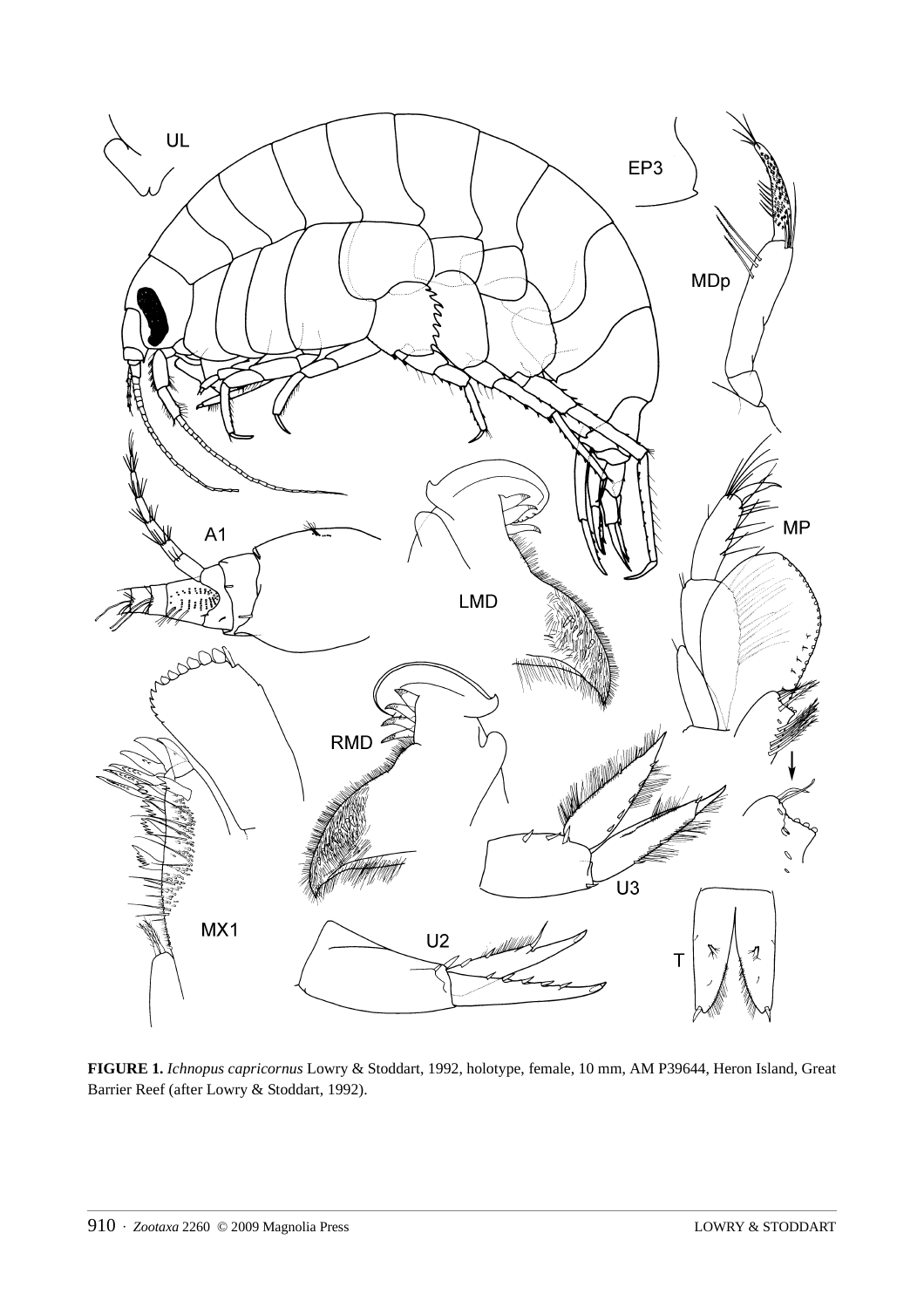

**FIGURE 1.** *Ichnopus capricornus* Lowry & Stoddart, 1992, holotype, female, 10 mm, AM P39644, Heron Island, Great Barrier Reef (after Lowry & Stoddart, 1992).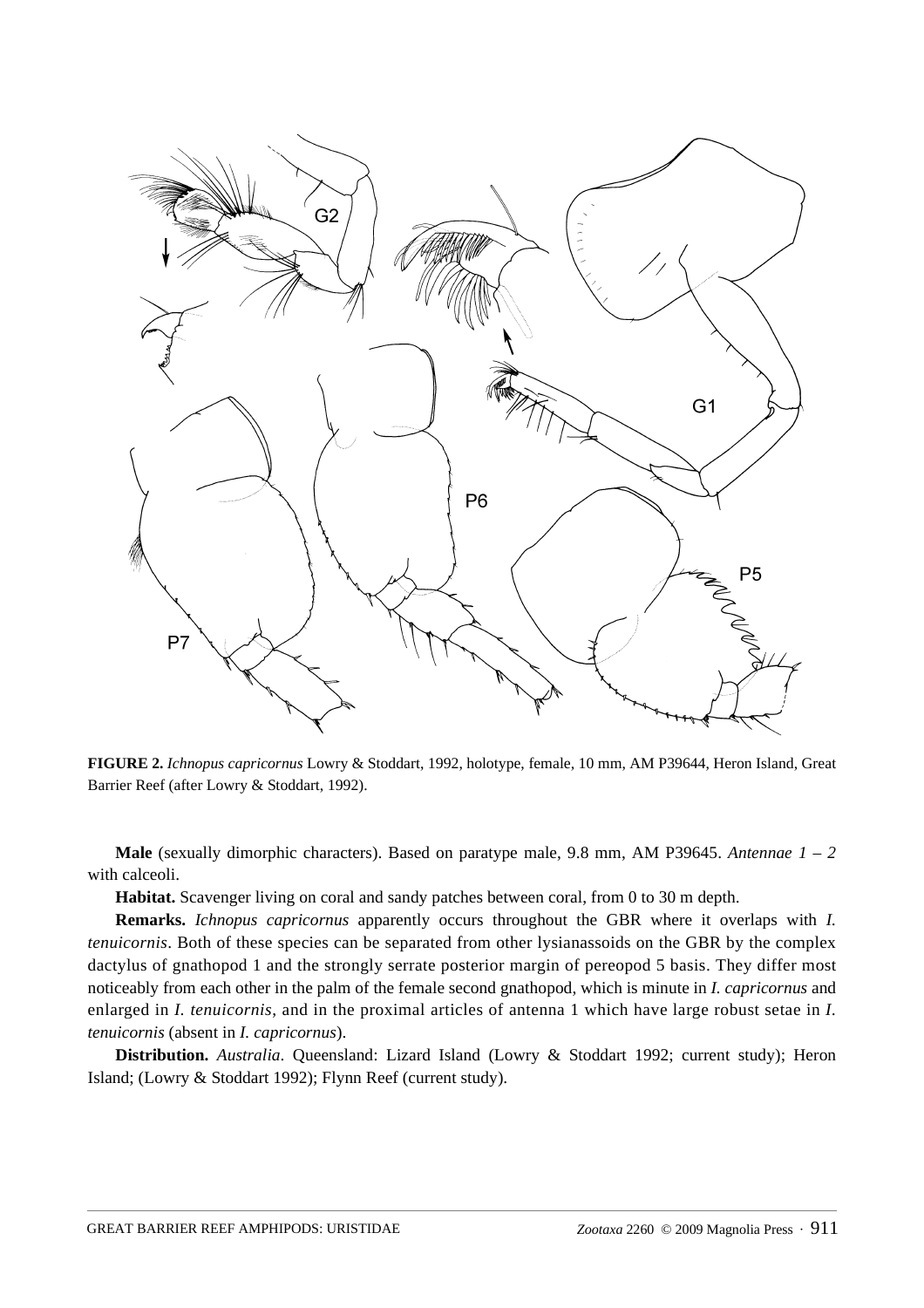

**FIGURE 2.** *Ichnopus capricornus* Lowry & Stoddart, 1992, holotype, female, 10 mm, AM P39644, Heron Island, Great Barrier Reef (after Lowry & Stoddart, 1992).

**Male** (sexually dimorphic characters). Based on paratype male, 9.8 mm, AM P39645. *Antennae 1 – 2* with calceoli.

**Habitat.** Scavenger living on coral and sandy patches between coral, from 0 to 30 m depth.

**Remarks.** *Ichnopus capricornus* apparently occurs throughout the GBR where it overlaps with *I. tenuicornis*. Both of these species can be separated from other lysianassoids on the GBR by the complex dactylus of gnathopod 1 and the strongly serrate posterior margin of pereopod 5 basis. They differ most noticeably from each other in the palm of the female second gnathopod, which is minute in *I. capricornus* and enlarged in *I. tenuicornis*, and in the proximal articles of antenna 1 which have large robust setae in *I. tenuicornis* (absent in *I. capricornus*).

**Distribution.** *Australia*. Queensland: Lizard Island (Lowry & Stoddart 1992; current study); Heron Island; (Lowry & Stoddart 1992); Flynn Reef (current study).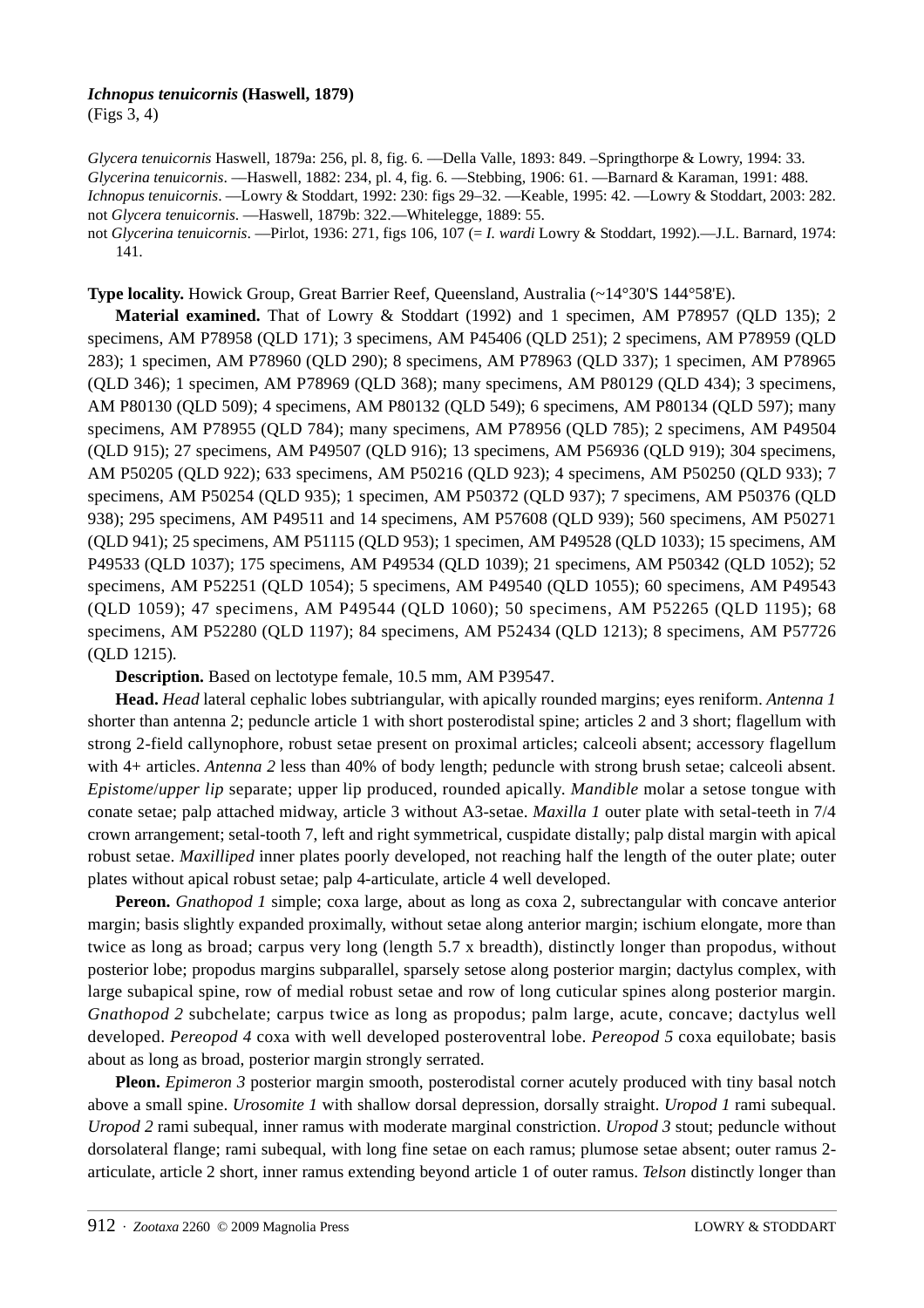# *Ichnopus tenuicornis* **(Haswell, 1879)**

(Figs 3, 4)

*Glycera tenuicornis* Haswell, 1879a: 256, pl. 8, fig. 6. ––Della Valle, 1893: 849. –Springthorpe & Lowry, 1994: 33. *Glycerina tenuicornis*. ––Haswell, 1882: 234, pl. 4, fig. 6. ––Stebbing, 1906: 61. ––Barnard & Karaman, 1991: 488. *Ichnopus tenuicornis*. ––Lowry & Stoddart, 1992: 230: figs 29–32. ––Keable, 1995: 42. ––Lowry & Stoddart, 2003: 282. not *Glycera tenuicornis*. ––Haswell, 1879b: 322.––Whitelegge, 1889: 55. not *Glycerina tenuicornis*. ––Pirlot, 1936: 271, figs 106, 107 (= *I. wardi* Lowry & Stoddart, 1992).––J.L. Barnard, 1974:

141.

**Type locality.** Howick Group, Great Barrier Reef, Queensland, Australia (~14°30'S 144°58'E).

**Material examined.** That of Lowry & Stoddart (1992) and 1 specimen, AM P78957 (QLD 135); 2 specimens, AM P78958 (QLD 171); 3 specimens, AM P45406 (QLD 251); 2 specimens, AM P78959 (QLD 283); 1 specimen, AM P78960 (QLD 290); 8 specimens, AM P78963 (QLD 337); 1 specimen, AM P78965 (QLD 346); 1 specimen, AM P78969 (QLD 368); many specimens, AM P80129 (QLD 434); 3 specimens, AM P80130 (QLD 509); 4 specimens, AM P80132 (QLD 549); 6 specimens, AM P80134 (QLD 597); many specimens, AM P78955 (QLD 784); many specimens, AM P78956 (QLD 785); 2 specimens, AM P49504 (QLD 915); 27 specimens, AM P49507 (QLD 916); 13 specimens, AM P56936 (QLD 919); 304 specimens, AM P50205 (QLD 922); 633 specimens, AM P50216 (QLD 923); 4 specimens, AM P50250 (QLD 933); 7 specimens, AM P50254 (QLD 935); 1 specimen, AM P50372 (QLD 937); 7 specimens, AM P50376 (QLD 938); 295 specimens, AM P49511 and 14 specimens, AM P57608 (QLD 939); 560 specimens, AM P50271 (QLD 941); 25 specimens, AM P51115 (QLD 953); 1 specimen, AM P49528 (QLD 1033); 15 specimens, AM P49533 (QLD 1037); 175 specimens, AM P49534 (QLD 1039); 21 specimens, AM P50342 (QLD 1052); 52 specimens, AM P52251 (QLD 1054); 5 specimens, AM P49540 (QLD 1055); 60 specimens, AM P49543 (QLD 1059); 47 specimens, AM P49544 (QLD 1060); 50 specimens, AM P52265 (QLD 1195); 68 specimens, AM P52280 (QLD 1197); 84 specimens, AM P52434 (QLD 1213); 8 specimens, AM P57726 (QLD 1215).

**Description.** Based on lectotype female, 10.5 mm, AM P39547.

**Head.** *Head* lateral cephalic lobes subtriangular, with apically rounded margins; eyes reniform. *Antenna 1* shorter than antenna 2; peduncle article 1 with short posterodistal spine; articles 2 and 3 short; flagellum with strong 2-field callynophore, robust setae present on proximal articles; calceoli absent; accessory flagellum with 4+ articles. *Antenna* 2 less than 40% of body length; peduncle with strong brush setae; calceoli absent. *Epistome*/*upper lip* separate; upper lip produced, rounded apically. *Mandible* molar a setose tongue with conate setae; palp attached midway, article 3 without A3-setae. *Maxilla 1* outer plate with setal-teeth in 7/4 crown arrangement; setal-tooth 7, left and right symmetrical, cuspidate distally; palp distal margin with apical robust setae. *Maxilliped* inner plates poorly developed, not reaching half the length of the outer plate; outer plates without apical robust setae; palp 4-articulate, article 4 well developed.

**Pereon.** *Gnathopod 1* simple; coxa large, about as long as coxa 2, subrectangular with concave anterior margin; basis slightly expanded proximally, without setae along anterior margin; ischium elongate, more than twice as long as broad; carpus very long (length 5.7 x breadth), distinctly longer than propodus, without posterior lobe; propodus margins subparallel, sparsely setose along posterior margin; dactylus complex, with large subapical spine, row of medial robust setae and row of long cuticular spines along posterior margin. *Gnathopod 2* subchelate; carpus twice as long as propodus; palm large, acute, concave; dactylus well developed. *Pereopod 4* coxa with well developed posteroventral lobe. *Pereopod 5* coxa equilobate; basis about as long as broad, posterior margin strongly serrated.

**Pleon.** *Epimeron 3* posterior margin smooth, posterodistal corner acutely produced with tiny basal notch above a small spine. *Urosomite 1* with shallow dorsal depression, dorsally straight. *Uropod 1* rami subequal. *Uropod 2* rami subequal, inner ramus with moderate marginal constriction. *Uropod 3* stout; peduncle without dorsolateral flange; rami subequal, with long fine setae on each ramus; plumose setae absent; outer ramus 2 articulate, article 2 short, inner ramus extending beyond article 1 of outer ramus. *Telson* distinctly longer than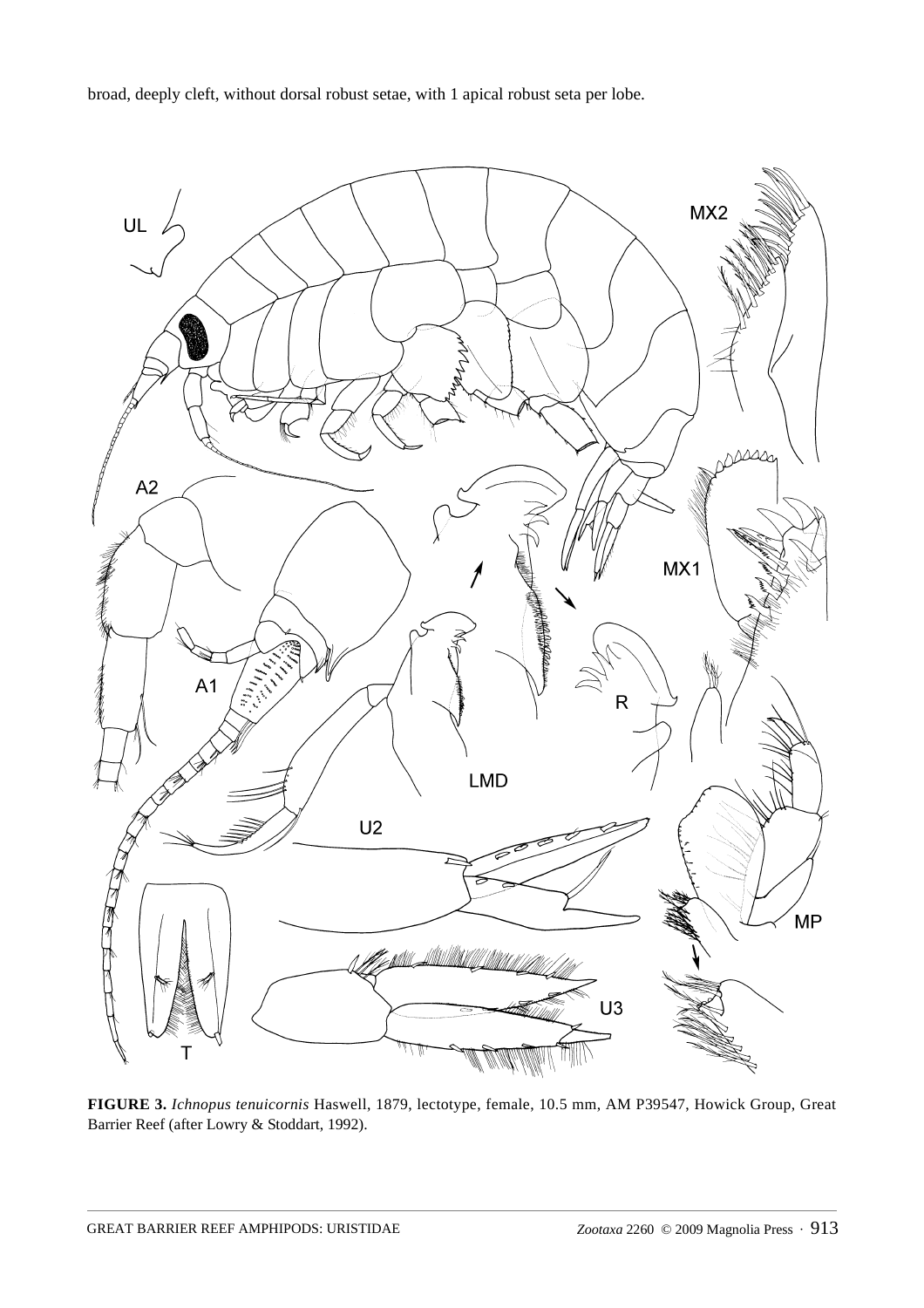broad, deeply cleft, without dorsal robust setae, with 1 apical robust seta per lobe.



**FIGURE 3.** *Ichnopus tenuicornis* Haswell, 1879, lectotype, female, 10.5 mm, AM P39547, Howick Group, Great Barrier Reef (after Lowry & Stoddart, 1992).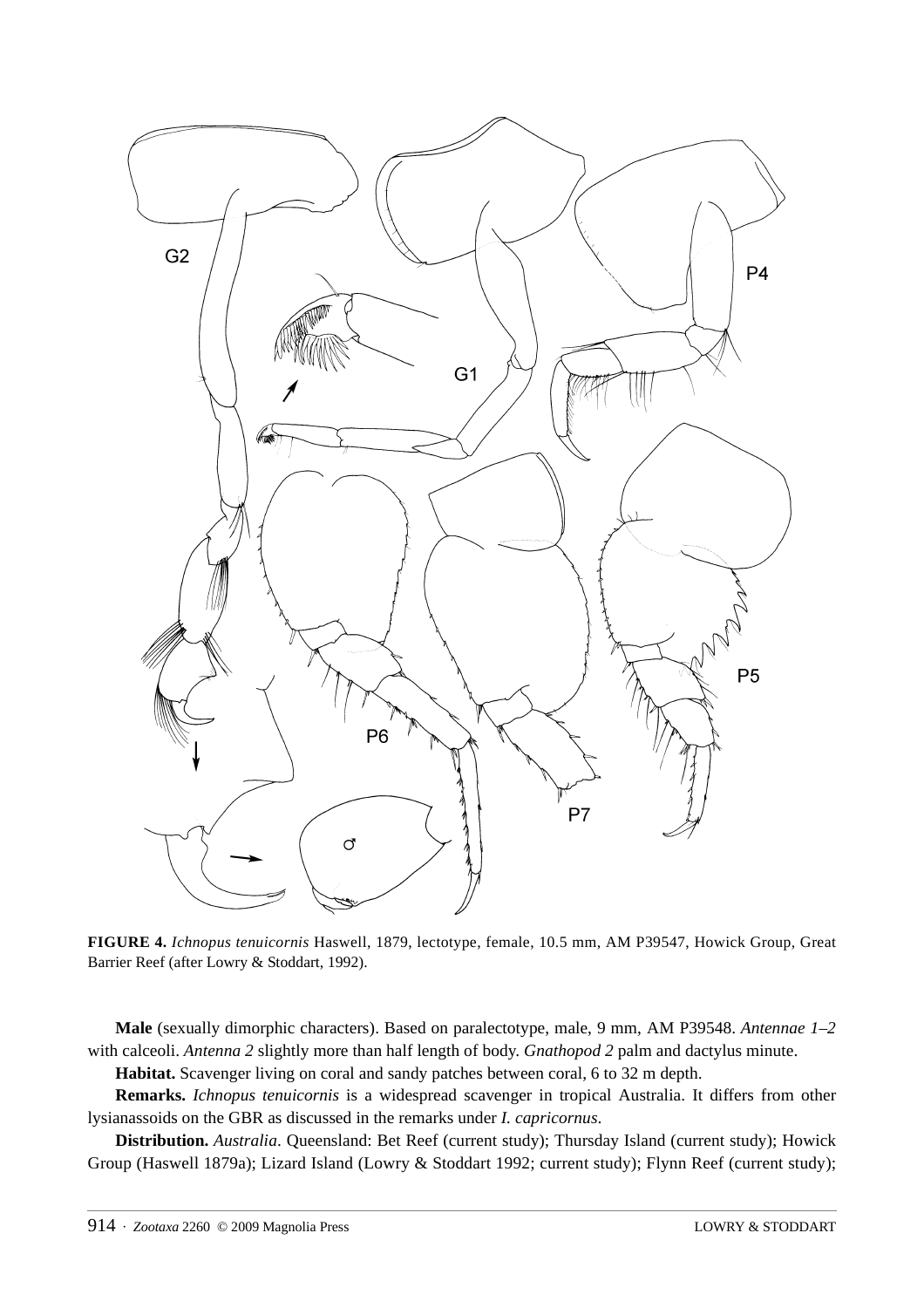

**FIGURE 4.** *Ichnopus tenuicornis* Haswell, 1879, lectotype, female, 10.5 mm, AM P39547, Howick Group, Great Barrier Reef (after Lowry & Stoddart, 1992).

**Male** (sexually dimorphic characters). Based on paralectotype, male, 9 mm, AM P39548. *Antennae 1–2* with calceoli. *Antenna 2* slightly more than half length of body. *Gnathopod 2* palm and dactylus minute.

**Habitat.** Scavenger living on coral and sandy patches between coral, 6 to 32 m depth.

**Remarks.** *Ichnopus tenuicornis* is a widespread scavenger in tropical Australia. It differs from other lysianassoids on the GBR as discussed in the remarks under *I. capricornus*.

**Distribution.** *Australia*. Queensland: Bet Reef (current study); Thursday Island (current study); Howick Group (Haswell 1879a); Lizard Island (Lowry & Stoddart 1992; current study); Flynn Reef (current study);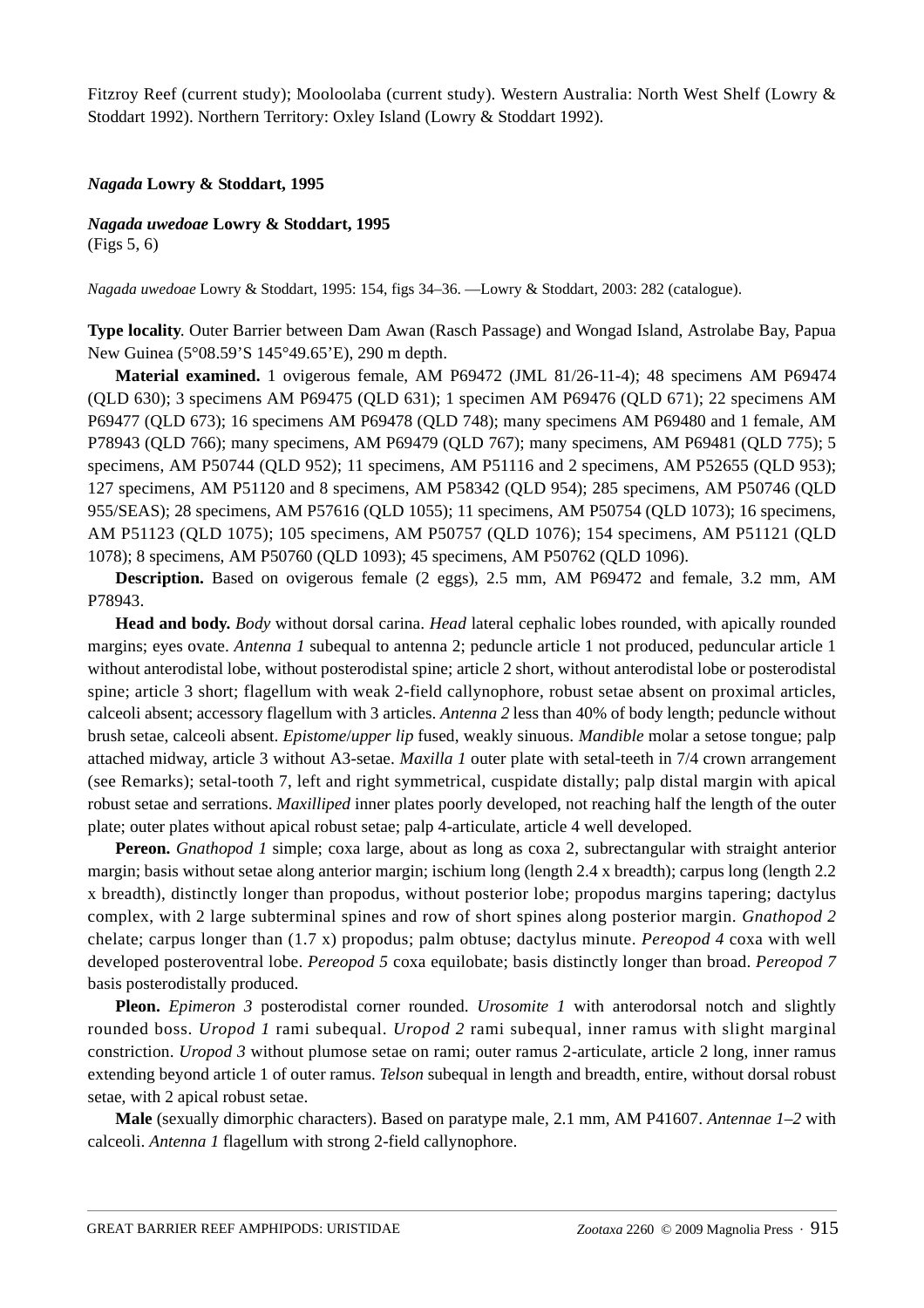Fitzroy Reef (current study); Mooloolaba (current study). Western Australia: North West Shelf (Lowry & Stoddart 1992). Northern Territory: Oxley Island (Lowry & Stoddart 1992).

#### *Nagada* **Lowry & Stoddart, 1995**

*Nagada uwedoae* **Lowry & Stoddart, 1995** (Figs 5, 6)

*Nagada uwedoae* Lowry & Stoddart, 1995: 154, figs 34–36. ––Lowry & Stoddart, 2003: 282 (catalogue).

**Type locality**. Outer Barrier between Dam Awan (Rasch Passage) and Wongad Island, Astrolabe Bay, Papua New Guinea (5°08.59'S 145°49.65'E), 290 m depth.

**Material examined.** 1 ovigerous female, AM P69472 (JML 81/26-11-4); 48 specimens AM P69474 (QLD 630); 3 specimens AM P69475 (QLD 631); 1 specimen AM P69476 (QLD 671); 22 specimens AM P69477 (QLD 673); 16 specimens AM P69478 (QLD 748); many specimens AM P69480 and 1 female, AM P78943 (QLD 766); many specimens, AM P69479 (QLD 767); many specimens, AM P69481 (QLD 775); 5 specimens, AM P50744 (QLD 952); 11 specimens, AM P51116 and 2 specimens, AM P52655 (QLD 953); 127 specimens, AM P51120 and 8 specimens, AM P58342 (QLD 954); 285 specimens, AM P50746 (QLD 955/SEAS); 28 specimens, AM P57616 (QLD 1055); 11 specimens, AM P50754 (QLD 1073); 16 specimens, AM P51123 (QLD 1075); 105 specimens, AM P50757 (QLD 1076); 154 specimens, AM P51121 (QLD 1078); 8 specimens, AM P50760 (QLD 1093); 45 specimens, AM P50762 (QLD 1096).

**Description.** Based on ovigerous female (2 eggs), 2.5 mm, AM P69472 and female, 3.2 mm, AM P78943.

**Head and body.** *Body* without dorsal carina. *Head* lateral cephalic lobes rounded, with apically rounded margins; eyes ovate. *Antenna 1* subequal to antenna 2; peduncle article 1 not produced, peduncular article 1 without anterodistal lobe, without posterodistal spine; article 2 short, without anterodistal lobe or posterodistal spine; article 3 short; flagellum with weak 2-field callynophore, robust setae absent on proximal articles, calceoli absent; accessory flagellum with 3 articles. *Antenna 2* less than 40% of body length; peduncle without brush setae, calceoli absent. *Epistome*/*upper lip* fused, weakly sinuous. *Mandible* molar a setose tongue; palp attached midway, article 3 without A3-setae. *Maxilla 1* outer plate with setal-teeth in 7/4 crown arrangement (see Remarks); setal-tooth 7, left and right symmetrical, cuspidate distally; palp distal margin with apical robust setae and serrations. *Maxilliped* inner plates poorly developed, not reaching half the length of the outer plate; outer plates without apical robust setae; palp 4-articulate, article 4 well developed.

**Pereon.** *Gnathopod 1* simple; coxa large, about as long as coxa 2, subrectangular with straight anterior margin; basis without setae along anterior margin; ischium long (length 2.4 x breadth); carpus long (length 2.2 x breadth), distinctly longer than propodus, without posterior lobe; propodus margins tapering; dactylus complex, with 2 large subterminal spines and row of short spines along posterior margin. *Gnathopod 2* chelate; carpus longer than (1.7 x) propodus; palm obtuse; dactylus minute. *Pereopod 4* coxa with well developed posteroventral lobe. *Pereopod 5* coxa equilobate; basis distinctly longer than broad. *Pereopod 7*  basis posterodistally produced.

**Pleon.** *Epimeron 3* posterodistal corner rounded. *Urosomite 1* with anterodorsal notch and slightly rounded boss. *Uropod 1* rami subequal. *Uropod 2* rami subequal, inner ramus with slight marginal constriction. *Uropod 3* without plumose setae on rami; outer ramus 2-articulate, article 2 long, inner ramus extending beyond article 1 of outer ramus. *Telson* subequal in length and breadth, entire, without dorsal robust setae, with 2 apical robust setae.

**Male** (sexually dimorphic characters). Based on paratype male, 2.1 mm, AM P41607. *Antennae 1–2* with calceoli. *Antenna 1* flagellum with strong 2-field callynophore.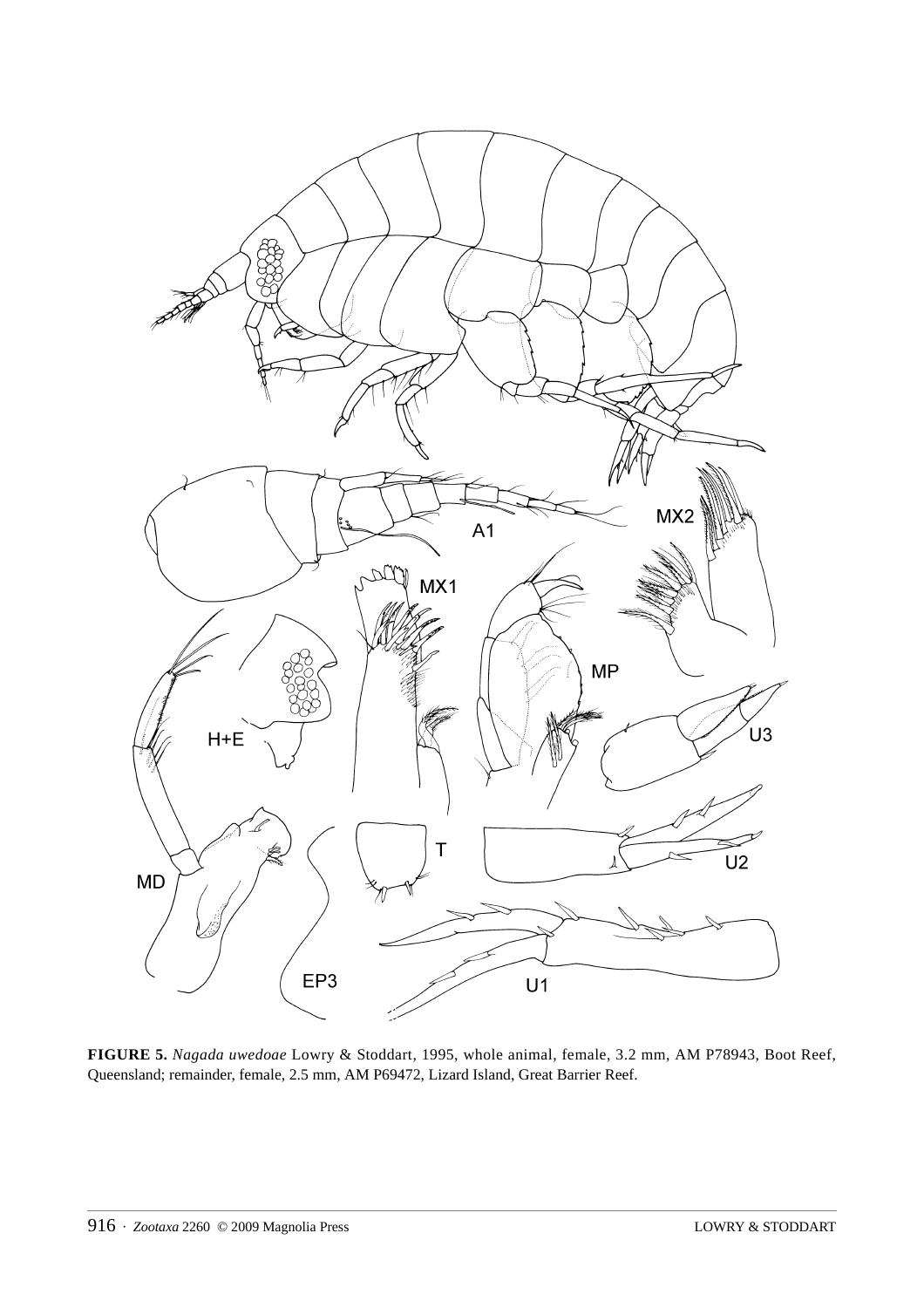

**FIGURE 5.** *Nagada uwedoae* Lowry & Stoddart, 1995, whole animal, female, 3.2 mm, AM P78943, Boot Reef, Queensland; remainder, female, 2.5 mm, AM P69472, Lizard Island, Great Barrier Reef.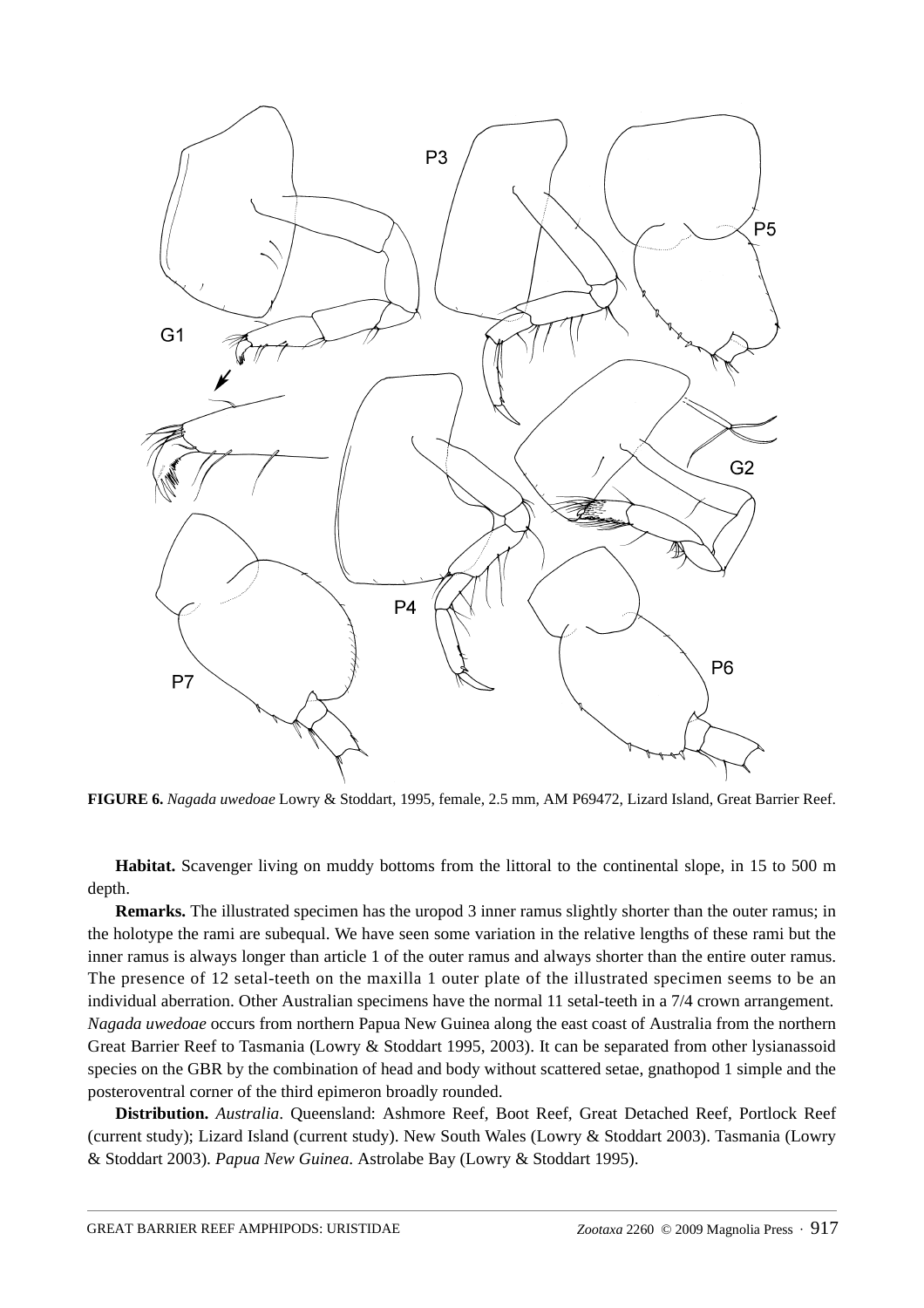

**FIGURE 6.** *Nagada uwedoae* Lowry & Stoddart, 1995, female, 2.5 mm, AM P69472, Lizard Island, Great Barrier Reef.

**Habitat.** Scavenger living on muddy bottoms from the littoral to the continental slope, in 15 to 500 m depth.

**Remarks.** The illustrated specimen has the uropod 3 inner ramus slightly shorter than the outer ramus; in the holotype the rami are subequal. We have seen some variation in the relative lengths of these rami but the inner ramus is always longer than article 1 of the outer ramus and always shorter than the entire outer ramus. The presence of 12 setal-teeth on the maxilla 1 outer plate of the illustrated specimen seems to be an individual aberration. Other Australian specimens have the normal 11 setal-teeth in a 7/4 crown arrangement. *Nagada uwedoae* occurs from northern Papua New Guinea along the east coast of Australia from the northern Great Barrier Reef to Tasmania (Lowry & Stoddart 1995, 2003). It can be separated from other lysianassoid species on the GBR by the combination of head and body without scattered setae, gnathopod 1 simple and the posteroventral corner of the third epimeron broadly rounded.

**Distribution.** *Australia*. Queensland: Ashmore Reef, Boot Reef, Great Detached Reef, Portlock Reef (current study); Lizard Island (current study). New South Wales (Lowry & Stoddart 2003). Tasmania (Lowry & Stoddart 2003). *Papua New Guinea*. Astrolabe Bay (Lowry & Stoddart 1995).